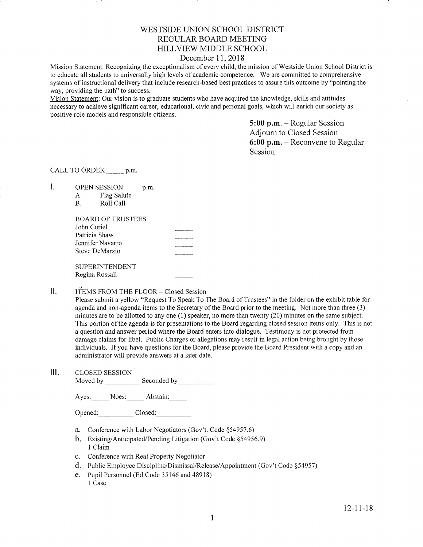# WESTSIDE UNION SCHOOL DISTRICT REGULAR BOARD MEETING HILLVIEW MIDDLE SCHOOL

## December 11, 2018

Mission Statement: Recognizing the exceptionalism of every child, the mission of Westside Union School District is to educate all students to universally high levels of academic competence. We are committed to cornprehensive systems of instructional delivery that include research-based best practices to assure this outcome by "pointing the way, providing the path" to success.

Vision Statement: Our vision is to graduate students who have acquired the knowledge, skills and attitudes necessary to achieve significant career, educational, civic and personal goals, which will enrich our society as positive role models and responsible citizens.

> 5:00 p.m. - Regular Session Adjourn to Closed Session 6:00 p.m. - Reconvene to Regular Session

CALL TO ORDER \_\_\_\_\_\_ p.m.

 $\mathbf{L}$ OPEN SESSION p.m.

| А. | Flag Salute |
|----|-------------|
| В. | Roll Call   |

| В | Roll Call |
|---|-----------|
|   |           |

| BOARD OF TRUSTEES |  |
|-------------------|--|
| John Curiel       |  |
| Patricia Shaw     |  |
| Jennifer Navarro  |  |
| Steve DeMarzio    |  |
|                   |  |
| SHPERINTENDENT    |  |

SUPERINTENDENT Regina Rossall

#### $\prod$ ITEMS FROM THE FLOOR - Closed Session

Please submit a yellow "Request To Speak To The Board of Trustees" in the folder on the exhibit table for agenda and non-agenda items to the Secretary of the Board prior to the meeting. Not more than three (3) minutes are to be allotted to any one (l) speaker, no more than twenty (20) minutes on the same subject. This portion of the agenda is for presentations to the Board regarding closed session items only. This is not a question and answer period where the Board enters into dialogue. Testimony is not protected from damage claims for libel. Public Charges or allegations may result in legal action being brought by those individuals. If you have questions for the Board, please provide the Board President with a copy and an administrator will provide answers at a later date.

III. CLoSED SESSIoN

Moved by Seconded by

Ayes: Noes; Abstain:

Opened: Closed:

- a. Conference with Labor Negotiators (Gov't. Code \$54957.6)
- b. Existing/Anticipated/Pending Litigation (Gov't Code §54956.9)<br>1 Claim
- c. Conference with Real Property Negotiator
- d. Public Employee Discipline/Dismissal/Release/Appointment (Gov't Code \$54957)
- e. Pupil Personnel (Ed Code 35146 and 48918). 1 Case

t2-11-18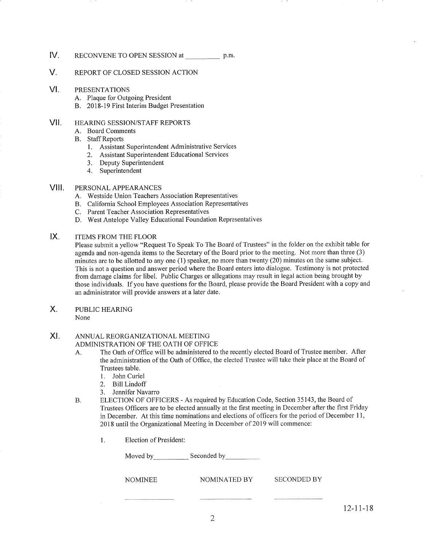## IV. RECONVENE TO OPEN SESSION at p.m.

## V. REPoRT oF cLosED SESSIoN ACTIoN

#### VI PRESENTATIONS

- 
- A. Plaque for Outgoing President<br>B. 2018-19 First Interim Budget Presentation

#### vil HEARING SESSION/STAFF REPORTS

- A. Board Comments
- B. Staff Reports
	- l. Assistant Superintendent Administrative Services
	- 2. Assistant Superintendent Educational Services
	- 3. Deputy Superintendent
	- 4. Superintendent

#### VIII. PERSONAL APPEARANCES

- A. Westside Union Teachers Association Representatives
- B. California School Employees Association Representatives
- C. Parent Teacher Association Representatives
- D. West Antelope Valley Educational Foundation Representatives

#### $IX.$ ITEMS FROM THE FLOOR

Please submit a yellow "Request To Speak To The Board of Trustees" in the folder on the exhibit table for agenda and non-agenda items to the Secretary of the Board prior to the meeting. Not more than three (3) minutes are to be allotted to any one (1) speaker, no more than twenty (20) minutes on the same subject. This is not a question and answer period where the Board enters into dialogue. Testimony is not protected from damage claims for libel. Public Charges or allegations may result in legal action being brought by those individuals. Ifyou have questions for the Board, please provide the Board President with a copy and an administrator will provide answers at a later date.

PUBLIC HEARING X.

None

#### ANNUAL REORGANIZATIONAL MEETING XI

ADMINISTRATION OF THE OATH OF OFFICE

- A. The Oath of Office will be administered to the recently elected Board of Trustee member. After the administration of the Oath of Office, the elected Trustee will take their place at the Board of Trustees table.
	- 1. John Curiel
	- 2. Bill Lindoff
	- 3. Jennifer Navarro
- B. ELECTION OF OFFICERS As required by Education Code, Section 35143, the Board of Trustees Offrcers are to be elected annually at the first meeting in December after the first Friday in December. At this time nominations and elections of officers for the period of December 11, 2018 until the Organizational Meeting in December of 2019 will commence:
	- 1. Election of President:

| Moved by       | Seconded by  |             |
|----------------|--------------|-------------|
| <b>NOMINEE</b> | NOMINATED BY | SECONDED BY |
|                |              |             |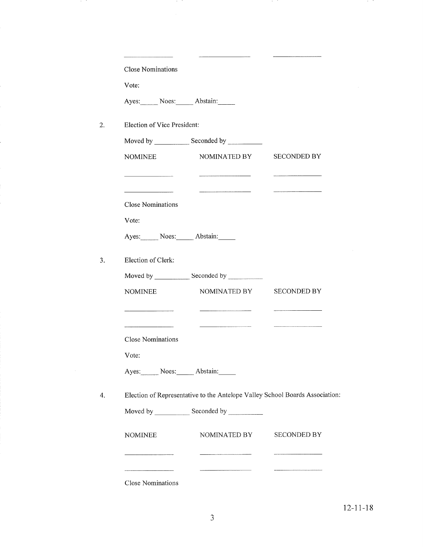|       | <b>Close Nominations</b>    |                                                                                                                 |                    |
|-------|-----------------------------|-----------------------------------------------------------------------------------------------------------------|--------------------|
| Vote: |                             |                                                                                                                 |                    |
|       |                             | Ayes: Noes: Abstain:                                                                                            |                    |
|       | Election of Vice President: |                                                                                                                 |                    |
|       |                             |                                                                                                                 |                    |
|       | <b>NOMINEE</b>              | NOMINATED BY                                                                                                    | <b>SECONDED BY</b> |
|       |                             |                                                                                                                 |                    |
|       | <b>Close Nominations</b>    |                                                                                                                 |                    |
| Vote: |                             |                                                                                                                 |                    |
|       |                             | Ayes: Noes: Abstain:                                                                                            |                    |
|       | Election of Clerk:          |                                                                                                                 |                    |
|       |                             |                                                                                                                 |                    |
|       | <b>NOMINEE</b>              | NOMINATED BY                                                                                                    | <b>SECONDED BY</b> |
|       |                             | the contract of the contract of the contract of the contract of the contract of the contract of the contract of |                    |
|       | <b>Close Nominations</b>    |                                                                                                                 |                    |
| Vote: |                             |                                                                                                                 |                    |
|       |                             | Ayes: Noes: Abstain:                                                                                            |                    |
|       |                             | Election of Representative to the Antelope Valley School Boards Association:                                    |                    |
|       |                             |                                                                                                                 |                    |
|       | <b>NOMINEE</b>              | NOMINATED BY                                                                                                    | <b>SECONDED BY</b> |
|       |                             |                                                                                                                 |                    |

Close Nominations

19 TO

 $\sim 10^6$ 

Ĭ,

in the

**PAGE** 

19 M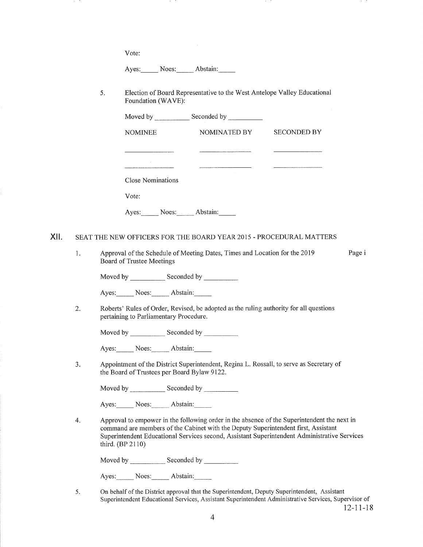Vote:

 $\ddot{\phantom{0}}$ 

Ayes: Noes: Abstain:

 $\ddot{\phantom{1}}$ 

<sup>5</sup> Election of Board Representative to the West Antelope Valley Educational Foundation (WAVE):

and the

in its

|      |    |                                             | Moved by Seconded by Seconded by Seconded by Seconded by Seconded by Seconded by Seconded by Seconded by Seconded by Seconded by Seconded by Seconded by Seconded by Seconded by Seconded by Seconded by Seconded by Seconded |                                                                                                                                                                                             |
|------|----|---------------------------------------------|-------------------------------------------------------------------------------------------------------------------------------------------------------------------------------------------------------------------------------|---------------------------------------------------------------------------------------------------------------------------------------------------------------------------------------------|
|      |    | <b>NOMINEE</b>                              | NOMINATED BY                                                                                                                                                                                                                  | <b>SECONDED BY</b>                                                                                                                                                                          |
|      |    |                                             |                                                                                                                                                                                                                               |                                                                                                                                                                                             |
|      |    |                                             |                                                                                                                                                                                                                               |                                                                                                                                                                                             |
|      |    | <b>Close Nominations</b>                    |                                                                                                                                                                                                                               |                                                                                                                                                                                             |
|      |    | Vote:                                       |                                                                                                                                                                                                                               |                                                                                                                                                                                             |
|      |    |                                             | Ayes: Noes: Abstain:                                                                                                                                                                                                          |                                                                                                                                                                                             |
| XII. |    |                                             | SEAT THE NEW OFFICERS FOR THE BOARD YEAR 2015 - PROCEDURAL MATTERS                                                                                                                                                            |                                                                                                                                                                                             |
|      | 1. | Board of Trustee Meetings                   | Approval of the Schedule of Meeting Dates, Times and Location for the 2019                                                                                                                                                    | Page i                                                                                                                                                                                      |
|      |    |                                             |                                                                                                                                                                                                                               |                                                                                                                                                                                             |
|      |    | Ayes: Noes: Abstain:                        |                                                                                                                                                                                                                               |                                                                                                                                                                                             |
|      | 2. | pertaining to Parliamentary Procedure.      | Roberts' Rules of Order, Revised, be adopted as the ruling authority for all questions                                                                                                                                        |                                                                                                                                                                                             |
|      |    |                                             |                                                                                                                                                                                                                               |                                                                                                                                                                                             |
|      |    | Ayes: Noes: Abstain:                        |                                                                                                                                                                                                                               |                                                                                                                                                                                             |
|      | 3. | the Board of Trustees per Board Bylaw 9122. | Appointment of the District Superintendent, Regina L. Rossall, to serve as Secretary of                                                                                                                                       |                                                                                                                                                                                             |
|      |    |                                             |                                                                                                                                                                                                                               |                                                                                                                                                                                             |
|      |    | Ayes: Noes: Abstain:                        |                                                                                                                                                                                                                               |                                                                                                                                                                                             |
|      | 4. | third. (BP 2110)                            | command are members of the Cabinet with the Deputy Superintendent first, Assistant                                                                                                                                            | Approval to empower in the following order in the absence of the Superintendent the next in<br>Superintendent Educational Services second, Assistant Superintendent Administrative Services |
|      |    |                                             |                                                                                                                                                                                                                               |                                                                                                                                                                                             |
|      |    | Ayes: Noes: Abstain:                        |                                                                                                                                                                                                                               |                                                                                                                                                                                             |

5 On behalf of the District approval that the Superintendent, Deputy Superintendent, Assistant Superintendent Educational Services, Assistant Superintendent Administrative Services, Supervisor of 12-1 I -1 8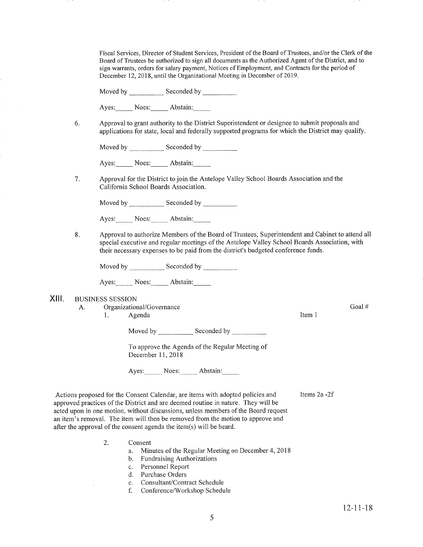Fiscal Services, Director of Student Services, President of the Board of Trustees, and/or the Clerk of the Board of Trustees be authorized to sign all documents as the Authorized Agent of the District, and to sign warrants, orders for salary payrnent, Notices of Employment, and Contracts for the period of December 12, 2018, until the Organizational Meeting in December of 2019.

Moved by \_\_\_\_\_\_\_\_\_\_\_\_ Seconded by \_

Ayes: Noes: Abstain:

6 Approval to grant authority to the District Superintendent or designee to submit proposals and applications for state, local and federally supported programs for which the District may qualify.

Moved by \_\_\_\_\_\_\_\_\_\_\_\_\_ Seconded by \_

Ayes: Noes: Abstain:

7. Approval for the District to join the Antelope Valley School Boards Association and the California School Boards Association.

Moved by \_\_\_\_\_\_\_\_\_\_\_\_\_ Seconded by

Ayes: Noes: Abstain:

8 Approval to authorize Members of the Board of Trustees, Superintendent and Cabinet to attend all special executive and regular meetings of the Antelope Valley School Boards Association, with their necessary expenses to be paid from the district's budgeted conference funds.

Moved by Seconded by Seconded by Seconded by Seconded by Seconded by Seconded by Seconded by Seconded by Seconded by Seconded by Seconded by Seconded by Seconded by Seconded by Seconded by Seconded by Seconded by Seconded

Ayes: Noes: Abstain:

- XIII. BUSINESS SESSION
	- A. Organizational/Governance

1. Agenda

Moved by Seconded by Seconded by Seconded by Seconded by Seconded by Seconded by Seconded by Seconded by Seconded by Seconded by Seconded by Seconded by Seconded by Seconded by Seconded by Seconded by Seconded by Seconded

To approve the Agenda of the Regular Meeting of December 11, 2018

Ayes: Noes: Abstain:

Items2a -2f

Item <sup>1</sup>

Actions proposed for the Consent Calendar, are items with adopted policies and approved practices of the District and are deemed routine in nature. They will be acted upon in one motion, without discussions, unless members of the Board request an item's removal. The item will then be removed from the motion to approve and after the approval of the consent agenda the item(s) will be heard.

- Consent 2.
	- a. Minutes of the Regular Meeting on December 4,2018
	- b. Fundraising Authorizations
	- c. Personnel Report d. Purchase Orders
	-
	- e. Consultant/Contract Schedule
	- f. Conference/Workshop Schedule

Goal #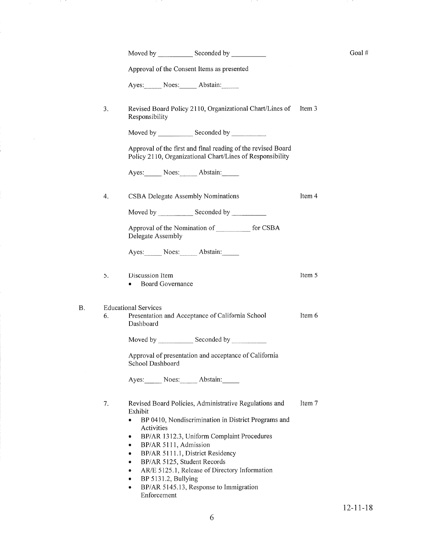|    |    | Moved by _______________ Seconded by ______________                                                                                                                                                                                                                                                  |        | Goal# |
|----|----|------------------------------------------------------------------------------------------------------------------------------------------------------------------------------------------------------------------------------------------------------------------------------------------------------|--------|-------|
|    |    | Approval of the Consent Items as presented                                                                                                                                                                                                                                                           |        |       |
|    |    | Ayes: Noes: Abstain:                                                                                                                                                                                                                                                                                 |        |       |
|    | 3. | Revised Board Policy 2110, Organizational Chart/Lines of<br>Responsibility                                                                                                                                                                                                                           | Item 3 |       |
|    |    |                                                                                                                                                                                                                                                                                                      |        |       |
|    |    | Approval of the first and final reading of the revised Board<br>Policy 2110, Organizational Chart/Lines of Responsibility                                                                                                                                                                            |        |       |
|    |    | Ayes: Noes: Abstain:                                                                                                                                                                                                                                                                                 |        |       |
|    | 4. | CSBA Delegate Assembly Nominations                                                                                                                                                                                                                                                                   | Item 4 |       |
|    |    | Moved by Seconded by _________                                                                                                                                                                                                                                                                       |        |       |
|    |    | Approval of the Nomination of ___________ for CSBA<br>Delegate Assembly                                                                                                                                                                                                                              |        |       |
|    |    | Ayes: Noes: Abstain:                                                                                                                                                                                                                                                                                 |        |       |
|    | 5. | Discussion Item<br><b>Board Governance</b>                                                                                                                                                                                                                                                           | Item 5 |       |
| Β. | 6. | <b>Educational Services</b><br>Presentation and Acceptance of California School<br>Dashboard                                                                                                                                                                                                         | Item 6 |       |
|    |    |                                                                                                                                                                                                                                                                                                      |        |       |
|    |    | Approval of presentation and acceptance of California<br>School Dashboard                                                                                                                                                                                                                            |        |       |
|    |    | Ayes: Noes: Abstain:                                                                                                                                                                                                                                                                                 |        |       |
|    | 7. | Revised Board Policies, Administrative Regulations and<br>Exhibit<br>BP 0410, Nondiscrimination in District Programs and<br>Activities<br>BP/AR 1312.3, Uniform Complaint Procedures<br>۰<br>BP/AR 5111, Admission<br>۰<br>BP/AR 5111.1, District Residency<br>۰<br>BP/AR 5125, Student Records<br>۰ | Item 7 |       |
|    |    | AR/E 5125.1, Release of Directory Information<br>۰<br>BP 5131.2, Bullying<br>۰<br>BP/AR 5145.13, Response to Immigration<br>۰<br>Enforcement                                                                                                                                                         |        |       |

an an

19 Mill

a ta Ta

 $\sim$   $\sim$ 

j.

and the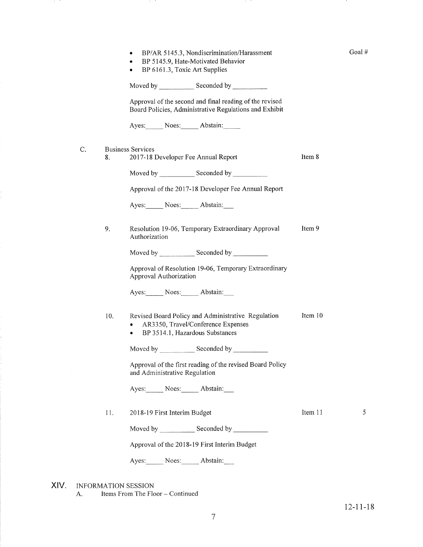- . BP 5145.9, Hate-Motivated Behavior
- BP 6161.3, Toxic Art Supplies

Moved by \_\_\_\_\_\_\_\_\_\_\_\_\_ Seconded by \_

Approval of the second and final reading of the revised Board Policies, Administrative Regulations and Exhibit

Ayes: Noes: Abstain:

- C. Business Services
	- 8. 2017-18 Developer Fee Annual Report Moved by \_\_\_\_\_\_\_\_\_\_\_\_\_ Seconded by \_

Approval of the 2017-18 Developer Fee Annual Report

Ayes: Noes: Abstain:

Item 9 9 Resolution 19-06, Temporary Extraordinary Approval Authorization

Moved by \_\_\_\_\_\_\_\_\_\_\_\_\_\_ Seconded by

Approval of Resolution 19-06, Temporary Extraordinary Approval Authorization

Ayes: Noes: Abstain:

Item l0 Revised Board Policy and Administrative Regulation . 4R3350, Travel/Conference Expenses 10

. BP 3514.1 , Hazardous Substances

Moved by Seconded by Seconded by Seconded by Seconded by Seconded by Seconded by Seconded by Seconded by Seconded by Seconded by Seconded by Seconded by Seconded by Seconded by Seconded by Seconded by Seconded by Seconded

Approval of the first reading of the revised Board Policy and Administrative Regulation

Ayes: Noes: Abstain:

<sup>20</sup>1 8- l9 First Interim Budget 11

Moved by \_\_\_\_\_\_\_\_\_\_\_\_\_ Seconded by

Approval of the 2018-19 First Interim Budget

Ayes: Noes: Abstain:

INFORMATION SESSION XIV

A. Items From The Floor - Continued

5

Goal #

Item 8

Item <sup>1</sup><sup>1</sup>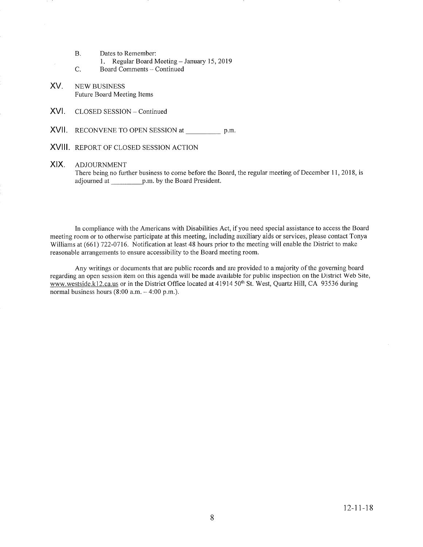- Dates to Remember: B.
	- 1. Regular Board Meeting January 15, 2019
- Board Comments Continued C.
- NEW BUSINESS Future Board Meeting Items XV

 $\bar{\epsilon}$ 

- XVI. CLOSED SESSION Continued
- XVII. RECONVENE TO OPEN SESSION at \_\_\_\_\_\_\_\_\_\_ p.m.
- XVIII. REPoRT oF CLoSED SESSIoN ACTIoN

## XIX. ADJOURNMENT

There being no further business to come before the Board, the regular meeting of December 11, 2018, is adjourned at p.m. by the Board President.

In compliance with the Americans with Disabilities Act, if you need special assistance to access the Board meeting room or to otherwise participate at this meeting, including auxiliary aids or services, please contact Tonya Williams at (661) 722-0716. Notification at least 48 hours prior to the meeting will enable the District to make reasonable arrangements to ensure accessibility to the Board meeting room.

Any writings or documents that are public records and are provided to a majority of the governing board regarding an open session item on this agenda will be made available for public inspection on the District Web Site, www.westside.k12.ca.us or in the District Office located at 41914 50<sup>th</sup> St. West, Quartz Hill, CA 93536 during normal business hours  $(8:00$  a.m.  $-4:00$  p.m.).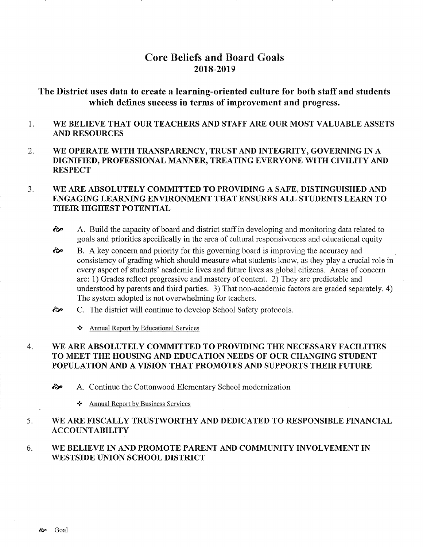# Core Beliefs and Board Goals 2018-2019

# The District uses data to create a learning-oriented culture for both staff and students which defines success in terms of improvement and progress.

- 1 WE BELIEVE THAT OUR TEACHERS AND STAFF ARE OUR MOST VALUABLE ASSETS AND RESOURCES
- 2 WE OPERATE WITH TRANSPARENCY, TRUST AND INTEGRITY, GOVERNING IN A DIGNIFIED, PROFESSIONAL MANNER, TREATING EVERYONE WITH CIVILITY AND **RESPECT**

### WE ARE ABSOLUTELY COMMITTED TO PROVIDING A SAFE, DISTINGUISHED AND ENGAGING LEARNING ENVIRONMENT THAT ENSURES ALL STUDENTS LEARN TO THEIR HIGHEST POTENTIAL  $3.$

- ôp A. Build the capacity of board and district staff in developing and monitoring data related to goals and priorities specifically in the area of cultural responsiveness and educational equity
- B. A key concern and priority for this governing board is improving the accuracy and consistency of grading which should measure what students know, as they play a crucial role in every aspect of students' academic lives and future lives as global citizens. Areas of concem are: 1) Grades reflect progressive and mastery of content. 2) They are predictable and understood by parents and third parties. 3) That non-academic factors are graded separately. 4) The system adopted is not overwhelming for teachers. ôp
- C. The district will continue to develop School Safety protocols.  $\hat{\sigma}$ 
	- \* Annual Report by Educational Services

### WE ARE ABSOLUTELY COMMITTED TO PROVIDING THE NECESSARY FACILITIES TO MEET THE HOUSING AND EDUCATION NEEDS OF OUR CHANGING STUDENT POPULATION AND A VISION THAT PROMOTES AND SUPPORTS THEIR FUTURE 4

èp A. Continue the Cottonwood Elementary School modernization

 $\div$  Annual Report by Business Services

#### WE ARE FISCALLY TRUSTWORTHY AND DEDICATED TO RESPONSIBLE FINANCIAL ACCOUNTABILITY 5

#### WE BELIEVE IN AND PROMOTE PARENT AND COMMUNITY INVOLVEMENT IN WESTSIDE UNION SCHOOL DISTRICT 6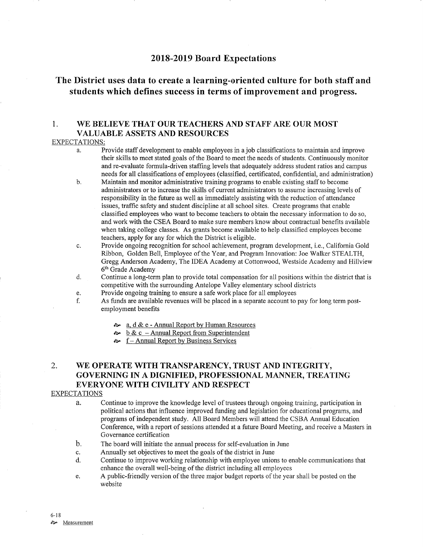## 2018-2019 Board Expectations

# The District uses data to create a learning-oriented culture for both staff and students which defines success in terms of improvement and progress.

## 1. WE BELIEVE THAT OUR TEACHERS AND STAFF ARE OUR MOST VALUABLE ASSETS AND RESOURCES

### EXPECTATIONS:

- a. Provide staff development to enable employees in a job classifications to maintain and improve their skills to meet stated goals of the Board to meet the needs of students. Continuously monitor and re-evaluate formula-driven stafhng levels that adequately address student ratios and campus needs for all classifications of employees (classified, certificated, confidential, and administration) b. Maintain and monitor administrative training programs to enable existing staff to become
- administrators or to increase the skills of current administrators to assume increasing levels of responsibility in the future as well as immediately assisting with the reduction of attendance issues, traffic safety and student discipline at all school sites. Create programs that enable classified employees who want to become teachers to obtain the necessary information to do so, and work with the CSEA Board to make sure members know about contractual benefits available when taking college classes. As grants become available to help classified employees become teachers, apply for any for which the District is eligible.
- c. Provide ongoing recognition for school achievement, program development, i.e., California Gold Ribbon, Golden Bell, Employee of the Year, and Program Innovation: Joe Walker STEALTH, Gregg Anderson Academy, The IDEA Academy at Cottonwood, Westside Academy and Hillview  $6<sup>th</sup>$  Grade Academy d. Continue a long-term plan to provide total compensation for all positions within the district that is
- competitive with the surrounding Antelope Valley elementary school districts
- 
- e. Provide ongoing training to ensure a safe work place for all employees f. As funds are available revenues will be placed in a separate account to pay for long term post- employment benefits
	- <sup>a</sup>" a, d & e Annual Report by Human Resources
	- $\sim \underline{b} \& \underline{c}$  Annual Report from Superintendent
	- $\sim$  f Annual Report by Business Services

# 2. WE OPERATE WITH TRANSPARENCY, TRUST AND INTEGRTTY, GOVERNING IN A DIGNIFIED, PROFESSIONAL MANNER, TREATING EVERYONE WITH CIVILITY AND RESPECT

## EXPECTATIONS

- à. Continue to improve the knowledge level of trustees though ongoing training, participation in political actions that influence improved funding and legislation for educational programs, and programs of independent study. AII Board Members will attend the CSBA Annual Education Conference, with a report of sessions attended at a future Board Meeting, and receive a Masters in Governance certification
- The board will initiate the amual process for self-evaluation in June b
- Annually set objectives to meet the goals of the district in June c.
- Continue to improve working relationship with employee unions to enable communications that enhance the overall well-being of the district including all employees d.
- A public-friendly version of the three major budget reports of the year shall be posted on the website e.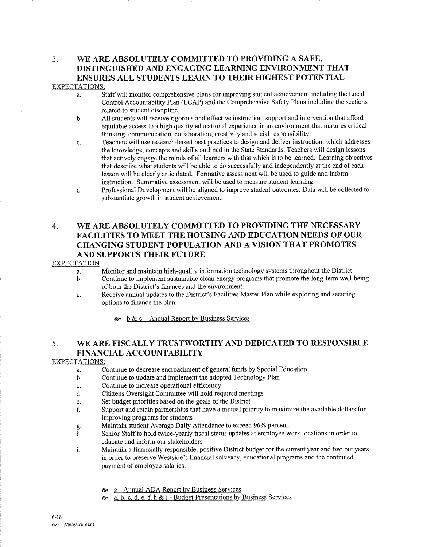# 3. WE ARE ABSOLUTELY COMMITTED TO PROVIDING A SAFE, DISTINGUISHED AND ENGAGING LEARNING ENVIRONMENT THAT ENSURES ALL STUDENTS LEARN TO THEIR HIGHEST POTENTIAL

### EXPECTATIONS:

- a. Staff will monitor comprehensive plans for improving student achievement including the Local Control Accountabilify Plan (LCAP) and the Comprehensive Safety Plans including the sections related to student discipline.
- b. All students will receive rigorous and effective instruction, support and intervention that afford equitable access to a high qualiry educational experience in an environment that nurtures critical thinking, communication, collaboration, creativity and social responsibility.
- c. Teachers will use research-based best practices to design and deliver instruction, which addresses the knowledge, concepts and skills outlined in the State Standards. Teachers will design lessons that actively engage the minds of all learners with that which is to be learned. Leaming objectives that describe what students will be able to do successfully and independently at the end of each lesson will be clearly articulated. Formative assessment will be used to guide and inform instruction. Summative assessment will be used to measure student learning.
- d. Professional Development will be aligned to improve student outcomes. Data will be collected to substantiate growth in student achievement.

# 4. WE ARE ABSOLUTELY COMMITTED TO PROVIDING THE NECESSARY FACILITIES TO MEET THE HOUSING AND EDUCATION NEEDS OF OUR CHANGING STUDENT POPULATION AND A VISION THAT PROMOTES AND SUPPORTS THEIR FUTURE

### **EXPECTATION**

a. Monitor and maintain high-quality information technology systems throughout the District

- b. Continue to implement sustainable clean energy programs that promote the long-term well-being of both the District's finances and the environment.
- c. Receive annual updates to the District's Facilities Master Plan while exploring and securing options to finance the plan.

 $\sim b \& c - \text{Annual Report by Business Services}$ 

# 5. WE ARE FISCALLY TRUSTWORTHY AND DEDICATED TO RESPONSIBLE FINANCIAL ACCOUNTABILITY

### EXPECTATIONS:

- a. Continue to decrease encroachment of general funds by Special Education
- b. Continue to update and implement the adopted Technology Plan
- c. Continue to increase operational efficiency
- d. Citizens Oversight Committee will hold required meetings
- e. Set budget priorities based on the goals of the District
- f. Support and retain partnerships that have a mutual priority to maximize the available dollars for improving programs for students<br>Maintain student Average Daily Attendance to exceed 96% percent.
- 
- g. Maintain student Average Daily Attendance to exceed 96% percent.<br>h. Senior Staff to hold twice-yearly fiscal status updates at employee work locations in order to educate and inform our stakeholders
- i. Maintain a financially responsible, positive District budget for the current year and two out years in order to preserve Westside's financial solvency, educational programs and the continued payment of employee salaries.
	- **a** g Annual ADA Report by Business Services
	- **a.** b. c. d. e. f. h & i Budget Presentations by Business Services